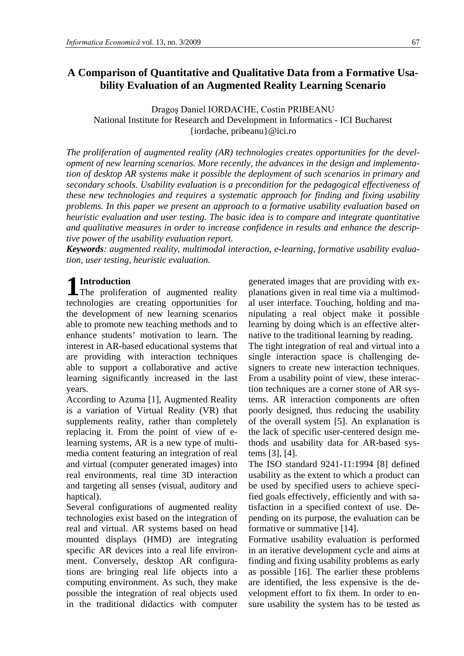# **A Comparison of Quantitative and Qualitative Data from a Formative Usability Evaluation of an Augmented Reality Learning Scenario**

Dragoş Daniel IORDACHE, Costin PRIBEANU National Institute for Research and Development in Informatics - ICI Bucharest {iordache, pribeanu}@ici.ro

*The proliferation of augmented reality (AR) technologies creates opportunities for the development of new learning scenarios. More recently, the advances in the design and implementation of desktop AR systems make it possible the deployment of such scenarios in primary and secondary schools. Usability evaluation is a precondition for the pedagogical effectiveness of these new technologies and requires a systematic approach for finding and fixing usability problems. In this paper we present an approach to a formative usability evaluation based on heuristic evaluation and user testing. The basic idea is to compare and integrate quantitative and qualitative measures in order to increase confidence in results and enhance the descriptive power of the usability evaluation report.*

*Keywords: augmented reality, multimodal interaction, e-learning, formative usability evaluation, user testing, heuristic evaluation.*

## **Introduction**

**1** Introduction<br>The proliferation of augmented reality technologies are creating opportunities for the development of new learning scenarios able to promote new teaching methods and to enhance students' motivation to learn. The interest in AR-based educational systems that are providing with interaction techniques able to support a collaborative and active learning significantly increased in the last years.

According to Azuma [1], Augmented Reality is a variation of Virtual Reality (VR) that supplements reality, rather than completely replacing it. From the point of view of elearning systems, AR is a new type of multimedia content featuring an integration of real and virtual (computer generated images) into real environments, real time 3D interaction and targeting all senses (visual, auditory and haptical).

Several configurations of augmented reality technologies exist based on the integration of real and virtual. AR systems based on head mounted displays (HMD) are integrating specific AR devices into a real life environment. Conversely, desktop AR configurations are bringing real life objects into a computing environment. As such, they make possible the integration of real objects used in the traditional didactics with computer

generated images that are providing with explanations given in real time via a multimodal user interface. Touching, holding and manipulating a real object make it possible learning by doing which is an effective alternative to the traditional learning by reading.

The tight integration of real and virtual into a single interaction space is challenging designers to create new interaction techniques. From a usability point of view, these interaction techniques are a corner stone of AR systems. AR interaction components are often poorly designed, thus reducing the usability of the overall system [5]. An explanation is the lack of specific user-centered design methods and usability data for AR-based systems [3], [4].

The ISO standard 9241-11:1994 [8] defined usability as the extent to which a product can be used by specified users to achieve specified goals effectively, efficiently and with satisfaction in a specified context of use. Depending on its purpose, the evaluation can be formative or summative [14].

Formative usability evaluation is performed in an iterative development cycle and aims at finding and fixing usability problems as early as possible [16]. The earlier these problems are identified, the less expensive is the development effort to fix them. In order to ensure usability the system has to be tested as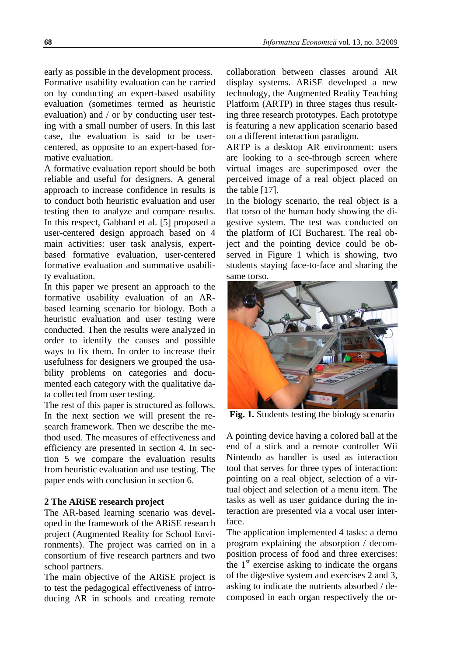early as possible in the development process. Formative usability evaluation can be carried on by conducting an expert-based usability evaluation (sometimes termed as heuristic evaluation) and / or by conducting user testing with a small number of users. In this last case, the evaluation is said to be usercentered, as opposite to an expert-based formative evaluation.

A formative evaluation report should be both reliable and useful for designers. A general approach to increase confidence in results is to conduct both heuristic evaluation and user testing then to analyze and compare results. In this respect, Gabbard et al. [5] proposed a user-centered design approach based on 4 main activities: user task analysis, expertbased formative evaluation, user-centered formative evaluation and summative usability evaluation.

In this paper we present an approach to the formative usability evaluation of an ARbased learning scenario for biology. Both a heuristic evaluation and user testing were conducted. Then the results were analyzed in order to identify the causes and possible ways to fix them. In order to increase their usefulness for designers we grouped the usability problems on categories and documented each category with the qualitative data collected from user testing.

The rest of this paper is structured as follows. In the next section we will present the research framework. Then we describe the method used. The measures of effectiveness and efficiency are presented in section 4. In section 5 we compare the evaluation results from heuristic evaluation and use testing. The paper ends with conclusion in section 6.

## **2 The ARiSE research project**

The AR-based learning scenario was developed in the framework of the ARiSE research project (Augmented Reality for School Environments). The project was carried on in a consortium of five research partners and two school partners.

The main objective of the ARiSE project is to test the pedagogical effectiveness of introducing AR in schools and creating remote

collaboration between classes around AR display systems. ARiSE developed a new technology, the Augmented Reality Teaching Platform (ARTP) in three stages thus resulting three research prototypes. Each prototype is featuring a new application scenario based on a different interaction paradigm.

ARTP is a desktop AR environment: users are looking to a see-through screen where virtual images are superimposed over the perceived image of a real object placed on the table [17].

In the biology scenario, the real object is a flat torso of the human body showing the digestive system. The test was conducted on the platform of ICI Bucharest. The real object and the pointing device could be observed in Figure 1 which is showing, two students staying face-to-face and sharing the same torso.



**Fig. 1.** Students testing the biology scenario

A pointing device having a colored ball at the end of a stick and a remote controller Wii Nintendo as handler is used as interaction tool that serves for three types of interaction: pointing on a real object, selection of a virtual object and selection of a menu item. The tasks as well as user guidance during the interaction are presented via a vocal user interface.

The application implemented 4 tasks: a demo program explaining the absorption / decomposition process of food and three exercises: the  $1<sup>st</sup>$  exercise asking to indicate the organs of the digestive system and exercises 2 and 3, asking to indicate the nutrients absorbed / decomposed in each organ respectively the or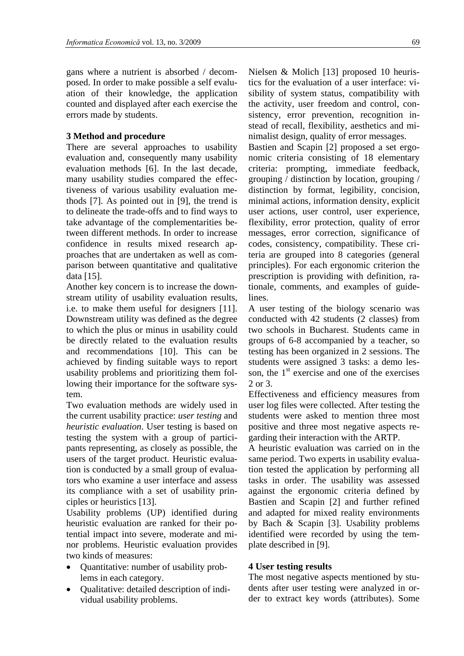gans where a nutrient is absorbed / decomposed. In order to make possible a self evaluation of their knowledge, the application counted and displayed after each exercise the errors made by students.

## **3 Method and procedure**

There are several approaches to usability evaluation and, consequently many usability evaluation methods [6]. In the last decade, many usability studies compared the effectiveness of various usability evaluation methods [7]. As pointed out in [9], the trend is to delineate the trade-offs and to find ways to take advantage of the complementarities between different methods. In order to increase confidence in results mixed research approaches that are undertaken as well as comparison between quantitative and qualitative data [15].

Another key concern is to increase the downstream utility of usability evaluation results, i.e. to make them useful for designers [11]. Downstream utility was defined as the degree to which the plus or minus in usability could be directly related to the evaluation results and recommendations [10]. This can be achieved by finding suitable ways to report usability problems and prioritizing them following their importance for the software system.

Two evaluation methods are widely used in the current usability practice: *user testing* and *heuristic evaluation*. User testing is based on testing the system with a group of participants representing, as closely as possible, the users of the target product. Heuristic evaluation is conducted by a small group of evaluators who examine a user interface and assess its compliance with a set of usability principles or heuristics [13].

Usability problems (UP) identified during heuristic evaluation are ranked for their potential impact into severe, moderate and minor problems. Heuristic evaluation provides two kinds of measures:

- Quantitative: number of usability problems in each category.
- Qualitative: detailed description of individual usability problems.

Nielsen & Molich [13] proposed 10 heuristics for the evaluation of a user interface: visibility of system status, compatibility with the activity, user freedom and control, consistency, error prevention, recognition instead of recall, flexibility, aesthetics and minimalist design, quality of error messages.

Bastien and Scapin [2] proposed a set ergonomic criteria consisting of 18 elementary criteria: prompting, immediate feedback, grouping / distinction by location, grouping / distinction by format, legibility, concision, minimal actions, information density, explicit user actions, user control, user experience, flexibility, error protection, quality of error messages, error correction, significance of codes, consistency, compatibility. These criteria are grouped into 8 categories (general principles). For each ergonomic criterion the prescription is providing with definition, rationale, comments, and examples of guidelines.

A user testing of the biology scenario was conducted with 42 students (2 classes) from two schools in Bucharest. Students came in groups of 6-8 accompanied by a teacher, so testing has been organized in 2 sessions. The students were assigned 3 tasks: a demo lesson, the  $1<sup>st</sup>$  exercise and one of the exercises 2 or 3.

Effectiveness and efficiency measures from user log files were collected. After testing the students were asked to mention three most positive and three most negative aspects regarding their interaction with the ARTP.

A heuristic evaluation was carried on in the same period. Two experts in usability evaluation tested the application by performing all tasks in order. The usability was assessed against the ergonomic criteria defined by Bastien and Scapin [2] and further refined and adapted for mixed reality environments by Bach & Scapin [3]. Usability problems identified were recorded by using the template described in [9].

## **4 User testing results**

The most negative aspects mentioned by students after user testing were analyzed in order to extract key words (attributes). Some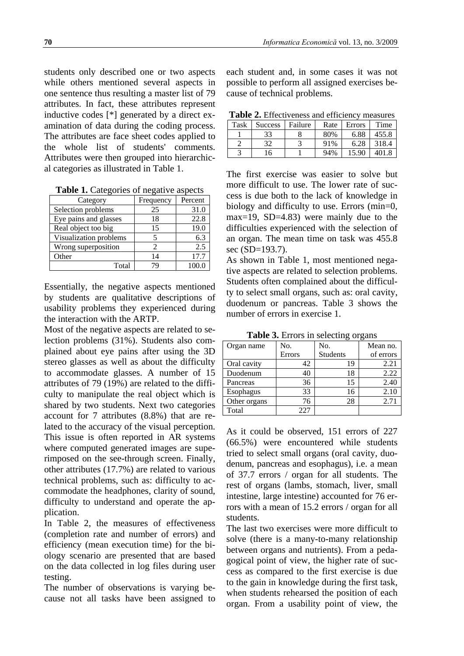students only described one or two aspects while others mentioned several aspects in one sentence thus resulting a master list of 79 attributes. In fact, these attributes represent inductive codes [\*] generated by a direct examination of data during the coding process. The attributes are face sheet codes applied to the whole list of students' comments. Attributes were then grouped into hierarchical categories as illustrated in Table 1.

**Table 1.** Categories of negative aspects

| Category               | Frequency | Percent |
|------------------------|-----------|---------|
| Selection problems     | 25        | 31.0    |
| Eye pains and glasses  | 18        | 22.8    |
| Real object too big    | 15        | 19.0    |
| Visualization problems |           | 6.3     |
| Wrong superposition    | 2         | 2.5     |
| Other                  | 14        | 17.7    |
| Total                  | 7Q        | 100.0   |

Essentially, the negative aspects mentioned by students are qualitative descriptions of usability problems they experienced during the interaction with the ARTP.

Most of the negative aspects are related to selection problems (31%). Students also complained about eye pains after using the 3D stereo glasses as well as about the difficulty to accommodate glasses. A number of 15 attributes of 79 (19%) are related to the difficulty to manipulate the real object which is shared by two students. Next two categories account for 7 attributes (8.8%) that are related to the accuracy of the visual perception. This issue is often reported in AR systems where computed generated images are superimposed on the see-through screen. Finally, other attributes (17.7%) are related to various technical problems, such as: difficulty to accommodate the headphones, clarity of sound, difficulty to understand and operate the application.

In Table 2, the measures of effectiveness (completion rate and number of errors) and efficiency (mean execution time) for the biology scenario are presented that are based on the data collected in log files during user testing.

The number of observations is varying because not all tasks have been assigned to

each student and, in some cases it was not possible to perform all assigned exercises because of technical problems.

|  |  | Table 2. Effectiveness and efficiency measures |  |  |  |
|--|--|------------------------------------------------|--|--|--|
|--|--|------------------------------------------------|--|--|--|

| Turic Ti Entech veness and christene v<br>----------- |                |         |      |        |       |  |  |
|-------------------------------------------------------|----------------|---------|------|--------|-------|--|--|
| Task                                                  | <b>Success</b> | Failure | Rate | Errors | Time  |  |  |
|                                                       | 33             |         | 80%  | 6.88   | 455.8 |  |  |
|                                                       | 32             |         | 91%  | 6.28   | 318.4 |  |  |
|                                                       | l6             |         | 94%  | 15.90  |       |  |  |
|                                                       |                |         |      |        |       |  |  |

The first exercise was easier to solve but more difficult to use. The lower rate of success is due both to the lack of knowledge in biology and difficulty to use. Errors (min=0, max=19, SD=4.83) were mainly due to the difficulties experienced with the selection of an organ. The mean time on task was 455.8 sec (SD=193.7).

As shown in Table 1, most mentioned negative aspects are related to selection problems. Students often complained about the difficulty to select small organs, such as: oral cavity, duodenum or pancreas. Table 3 shows the number of errors in exercise 1.

| <b>Twore of EXTERNAL SERVICE OF LARGE</b> |        |                 |           |  |  |  |  |
|-------------------------------------------|--------|-----------------|-----------|--|--|--|--|
| Organ name                                | No.    | No.             | Mean no.  |  |  |  |  |
|                                           | Errors | <b>Students</b> | of errors |  |  |  |  |
| Oral cavity                               | 42     | 19              | 2.21      |  |  |  |  |
| Duodenum                                  | 40     | 18              | 2.22      |  |  |  |  |
| Pancreas                                  | 36     | 15              | 2.40      |  |  |  |  |
| Esophagus                                 | 33     | 16              | 2.10      |  |  |  |  |
| Other organs                              | 76     | 28              | 2.71      |  |  |  |  |
| Total                                     | 227    |                 |           |  |  |  |  |

**Table 3.** Errors in selecting organs

As it could be observed, 151 errors of 227 (66.5%) were encountered while students tried to select small organs (oral cavity, duodenum, pancreas and esophagus), i.e. a mean of 37.7 errors / organ for all students. The rest of organs (lambs, stomach, liver, small intestine, large intestine) accounted for 76 errors with a mean of 15.2 errors / organ for all students.

The last two exercises were more difficult to solve (there is a many-to-many relationship between organs and nutrients). From a pedagogical point of view, the higher rate of success as compared to the first exercise is due to the gain in knowledge during the first task, when students rehearsed the position of each organ. From a usability point of view, the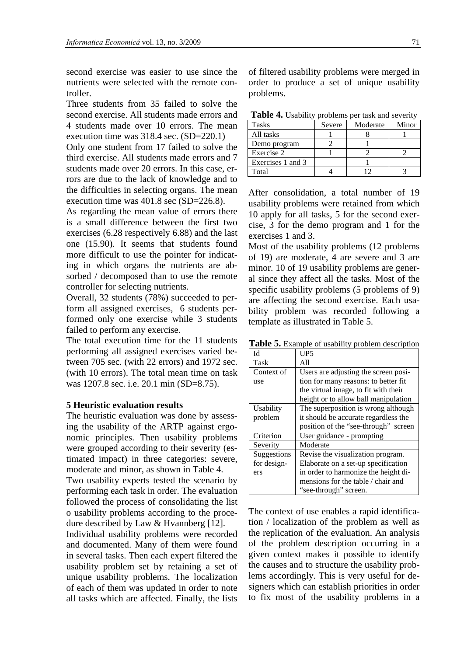second exercise was easier to use since the nutrients were selected with the remote controller.

Three students from 35 failed to solve the second exercise. All students made errors and 4 students made over 10 errors. The mean execution time was 318.4 sec. (SD=220.1)

Only one student from 17 failed to solve the third exercise. All students made errors and 7 students made over 20 errors. In this case, errors are due to the lack of knowledge and to the difficulties in selecting organs. The mean execution time was 401.8 sec (SD=226.8).

As regarding the mean value of errors there is a small difference between the first two exercises (6.28 respectively 6.88) and the last one (15.90). It seems that students found more difficult to use the pointer for indicating in which organs the nutrients are absorbed / decomposed than to use the remote controller for selecting nutrients.

Overall, 32 students (78%) succeeded to perform all assigned exercises, 6 students performed only one exercise while 3 students failed to perform any exercise.

The total execution time for the 11 students performing all assigned exercises varied between 705 sec. (with 22 errors) and 1972 sec. (with 10 errors). The total mean time on task was 1207.8 sec. i.e. 20.1 min (SD=8.75).

#### **5 Heuristic evaluation results**

The heuristic evaluation was done by assessing the usability of the ARTP against ergonomic principles. Then usability problems were grouped according to their severity (estimated impact) in three categories: severe, moderate and minor, as shown in Table 4. Two usability experts tested the scenario by performing each task in order. The evaluation followed the process of consolidating the list o usability problems according to the proce-

dure described by Law & Hvannberg [12].

Individual usability problems were recorded and documented. Many of them were found in several tasks. Then each expert filtered the usability problem set by retaining a set of unique usability problems. The localization of each of them was updated in order to note all tasks which are affected. Finally, the lists

of filtered usability problems were merged in order to produce a set of unique usability problems.

**Table 4.** Usability problems per task and severity

| <b>Tasks</b>      | Severe | Moderate | Minor |
|-------------------|--------|----------|-------|
| All tasks         |        |          |       |
| Demo program      |        |          |       |
| Exercise 2        |        |          |       |
| Exercises 1 and 3 |        |          |       |
| Total             |        |          |       |

After consolidation, a total number of 19 usability problems were retained from which 10 apply for all tasks, 5 for the second exercise, 3 for the demo program and 1 for the exercises 1 and 3.

Most of the usability problems (12 problems of 19) are moderate, 4 are severe and 3 are minor. 10 of 19 usability problems are general since they affect all the tasks. Most of the specific usability problems (5 problems of 9) are affecting the second exercise. Each usability problem was recorded following a template as illustrated in Table 5.

**Table 5.** Example of usability problem description

| ЫI          | UP5                                  |
|-------------|--------------------------------------|
| Task        | All                                  |
| Context of  | Users are adjusting the screen posi- |
| use         | tion for many reasons: to better fit |
|             | the virtual image, to fit with their |
|             | height or to allow ball manipulation |
| Usability   | The superposition is wrong although  |
| problem     | it should be accurate regardless the |
|             | position of the "see-through" screen |
| Criterion   | User guidance - prompting            |
| Severity    | Moderate                             |
| Suggestions | Revise the visualization program.    |
| for design- | Elaborate on a set-up specification  |
| ers         | in order to harmonize the height di- |
|             | mensions for the table / chair and   |
|             | "see-through" screen.                |

The context of use enables a rapid identification / localization of the problem as well as the replication of the evaluation. An analysis of the problem description occurring in a given context makes it possible to identify the causes and to structure the usability problems accordingly. This is very useful for designers which can establish priorities in order to fix most of the usability problems in a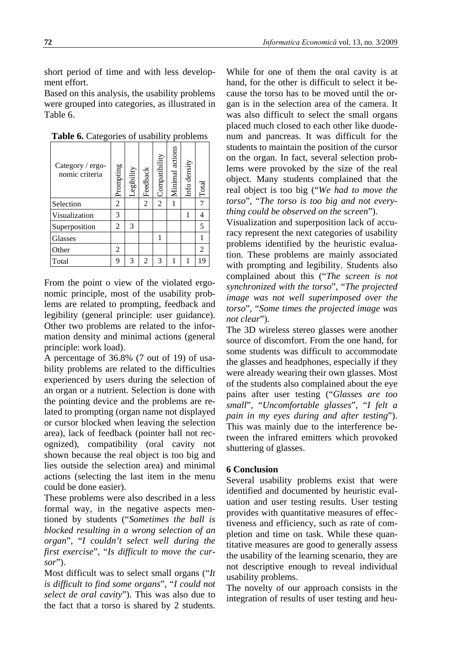short period of time and with less development effort.

Based on this analysis, the usability problems were grouped into categories, as illustrated in Table 6.

| Category / ergo-<br>nomic criteria | Prompting      | Legibility | Feedback       | Compatibility  | Minimal actions | Info density | Total |
|------------------------------------|----------------|------------|----------------|----------------|-----------------|--------------|-------|
| Selection                          | $\overline{2}$ |            | 2              | $\overline{2}$ | 1               |              |       |
| Visualization                      | 3              |            |                |                |                 |              | 4     |
| Superposition                      | $\overline{2}$ | 3          |                |                |                 |              | 5     |
| Glasses                            |                |            |                |                |                 |              |       |
| Other                              | 2              |            |                |                |                 |              | 2     |
| Total                              | 9              | 3          | $\mathfrak{D}$ | 3              | 1               | 1            | 19    |

**Table 6.** Categories of usability problems

From the point o view of the violated ergonomic principle, most of the usability problems are related to prompting, feedback and legibility (general principle: user guidance). Other two problems are related to the information density and minimal actions (general principle: work load).

A percentage of 36.8% (7 out of 19) of usability problems are related to the difficulties experienced by users during the selection of an organ or a nutrient. Selection is done with the pointing device and the problems are related to prompting (organ name not displayed or cursor blocked when leaving the selection area), lack of feedback (pointer ball not recognized), compatibility (oral cavity not shown because the real object is too big and lies outside the selection area) and minimal actions (selecting the last item in the menu could be done easier).

These problems were also described in a less formal way, in the negative aspects mentioned by students ("*Sometimes the ball is blocked resulting in a wrong selection of an organ*", "*I couldn't select well during the first exercise*", "*Is difficult to move the cursor*").

Most difficult was to select small organs ("*It is difficult to find some organs*", "*I could not select de oral cavity*"). This was also due to the fact that a torso is shared by 2 students.

While for one of them the oral cavity is at hand, for the other is difficult to select it because the torso has to be moved until the organ is in the selection area of the camera. It was also difficult to select the small organs placed much closed to each other like duodenum and pancreas. It was difficult for the students to maintain the position of the cursor on the organ. In fact, several selection problems were provoked by the size of the real object. Many students complained that the real object is too big ("*We had to move the torso*", "*The torso is too big and not everything could be observed on the screen*").

Visualization and superposition lack of accuracy represent the next categories of usability problems identified by the heuristic evaluation. These problems are mainly associated with prompting and legibility. Students also complained about this ("*The screen is not synchronized with the torso*", "*The projected image was not well superimposed over the torso*", "*Some times the projected image was not clear*").

The 3D wireless stereo glasses were another source of discomfort. From the one hand, for some students was difficult to accommodate the glasses and headphones, especially if they were already wearing their own glasses. Most of the students also complained about the eye pains after user testing ("*Glasses are too small*", "*Uncomfortable glasses*", "*I felt a pain in my eyes during and after testing*"). This was mainly due to the interference between the infrared emitters which provoked shuttering of glasses.

#### **6 Conclusion**

Several usability problems exist that were identified and documented by heuristic evaluation and user testing results. User testing provides with quantitative measures of effectiveness and efficiency, such as rate of completion and time on task. While these quantitative measures are good to generally assess the usability of the learning scenario, they are not descriptive enough to reveal individual usability problems.

The novelty of our approach consists in the integration of results of user testing and heu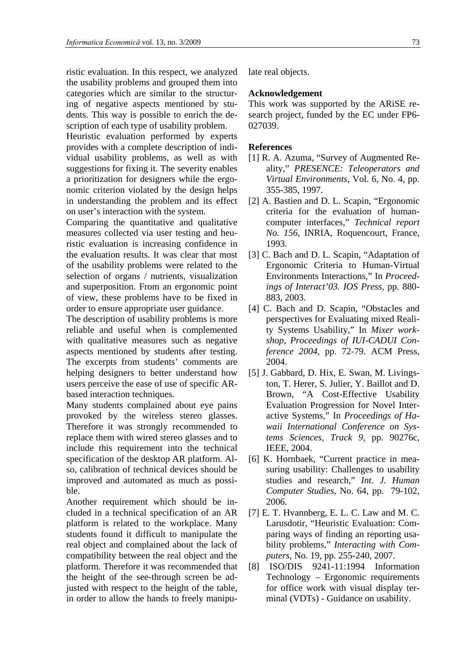ristic evaluation. In this respect, we analyzed the usability problems and grouped them into categories which are similar to the structuring of negative aspects mentioned by students. This way is possible to enrich the description of each type of usability problem.

Heuristic evaluation performed by experts provides with a complete description of individual usability problems, as well as with suggestions for fixing it. The severity enables a prioritization for designers while the ergonomic criterion violated by the design helps in understanding the problem and its effect on user's interaction with the system.

Comparing the quantitative and qualitative measures collected via user testing and heuristic evaluation is increasing confidence in the evaluation results. It was clear that most of the usability problems were related to the selection of organs / nutrients, visualization and superposition. From an ergonomic point of view, these problems have to be fixed in order to ensure appropriate user guidance.

The description of usability problems is more reliable and useful when is complemented with qualitative measures such as negative aspects mentioned by students after testing. The excerpts from students' comments are helping designers to better understand how users perceive the ease of use of specific ARbased interaction techniques.

Many students complained about eye pains provoked by the wireless stereo glasses. Therefore it was strongly recommended to replace them with wired stereo glasses and to include this requirement into the technical specification of the desktop AR platform. Also, calibration of technical devices should be improved and automated as much as possible.

Another requirement which should be included in a technical specification of an AR platform is related to the workplace. Many students found it difficult to manipulate the real object and complained about the lack of compatibility between the real object and the platform. Therefore it was recommended that the height of the see-through screen be adjusted with respect to the height of the table, in order to allow the hands to freely manipulate real objects.

### **Acknowledgement**

This work was supported by the ARiSE research project, funded by the EC under FP6- 027039.

#### **References**

- [1] R. A. Azuma, "Survey of Augmented Reality," *PRESENCE: Teleoperators and Virtual Environments*, Vol. 6, No. 4, pp. 355-385, 1997.
- [2] A. Bastien and D. L. Scapin, "Ergonomic criteria for the evaluation of humancomputer interfaces," *Technical report No. 156*, INRIA, Roquencourt, France, 1993.
- [3] C. Bach and D. L. Scapin, "Adaptation of Ergonomic Criteria to Human-Virtual Environments Interactions," In *Proceedings of Interact'03. IOS Press*, pp. 880- 883, 2003.
- [4] C. Bach and D. Scapin, "Obstacles and perspectives for Evaluating mixed Reality Systems Usability," In *Mixer workshop, Proceedings of IUI-CADUI Conference 2004*, pp. 72-79. ACM Press, 2004.
- [5] J. Gabbard, D. Hix, E. Swan, M. Livingston, T. Herer, S. Julier, Y. Baillot and D. Brown, "A Cost-Effective Usability Evaluation Progression for Novel Interactive Systems ," In *Proceedings of Hawaii International Conference on Systems Sciences, Track 9*, pp. 90276c, IEEE, 2004.
- [6] K. Hornbaek, "Current practice in measuring usability: Challenges to usability studies and research," *Int. J. Human Computer Studies*, No. 64, pp. 79-102, 2006.
- [7] E. T. Hvannberg, E. L. C. Law and M. C. Larusdotir, "Heuristic Evaluation: Comparing ways of finding an reporting usability problems," *Interacting with Computers*, No. 19, pp. 255-240, 2007.
- [8] ISO/DIS 9241-11:1994 Information Technology – Ergonomic requirements for office work with visual display terminal (VDTs) - Guidance on usability.